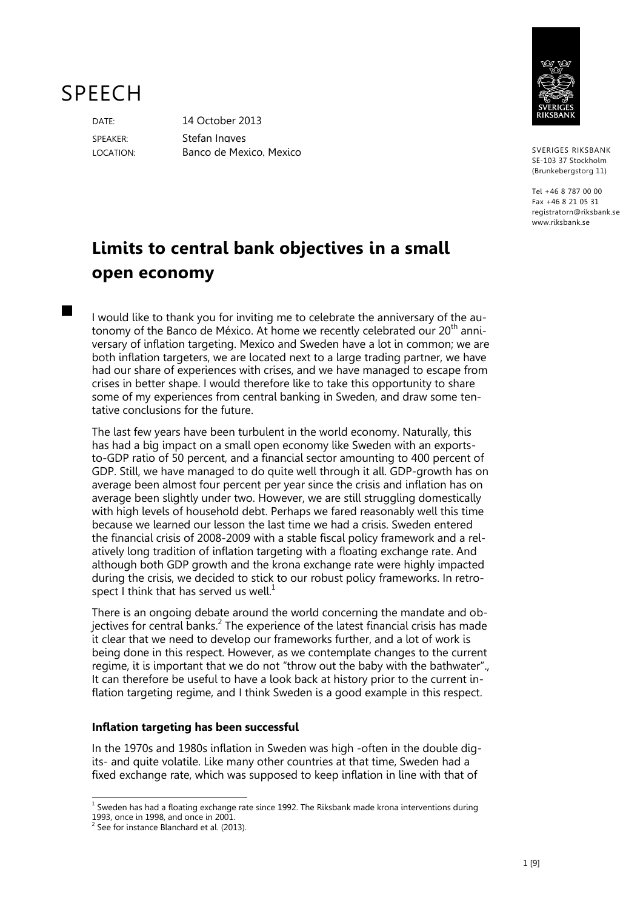# SPEECH

**The Co** 

DATE: 14 October 2013 SPEAKER: Stefan Ingves LOCATION: Banco de Mexico, Mexico



SVERIGES RIKSBANK SE-103 37 Stockholm (Brunkebergstorg 11)

Tel +46 8 787 00 00 Fax +46 8 21 05 31 registratorn@riksbank.se www.rikshank.se

# **Limits to central bank objectives in a small open economy**

I would like to thank you for inviting me to celebrate the anniversary of the autonomy of the Banco de México. At home we recently celebrated our 20<sup>th</sup> anniversary of inflation targeting. Mexico and Sweden have a lot in common; we are both inflation targeters, we are located next to a large trading partner, we have had our share of experiences with crises, and we have managed to escape from crises in better shape. I would therefore like to take this opportunity to share some of my experiences from central banking in Sweden, and draw some tentative conclusions for the future.

The last few years have been turbulent in the world economy. Naturally, this has had a big impact on a small open economy like Sweden with an exportsto-GDP ratio of 50 percent, and a financial sector amounting to 400 percent of GDP. Still, we have managed to do quite well through it all. GDP-growth has on average been almost four percent per year since the crisis and inflation has on average been slightly under two. However, we are still struggling domestically with high levels of household debt. Perhaps we fared reasonably well this time because we learned our lesson the last time we had a crisis. Sweden entered the financial crisis of 2008-2009 with a stable fiscal policy framework and a relatively long tradition of inflation targeting with a floating exchange rate. And although both GDP growth and the krona exchange rate were highly impacted during the crisis, we decided to stick to our robust policy frameworks. In retrospect I think that has served us well.<sup>1</sup>

There is an ongoing debate around the world concerning the mandate and objectives for central banks.<sup>2</sup> The experience of the latest financial crisis has made it clear that we need to develop our frameworks further, and a lot of work is being done in this respect. However, as we contemplate changes to the current regime, it is important that we do not "throw out the baby with the bathwater"., It can therefore be useful to have a look back at history prior to the current inflation targeting regime, and I think Sweden is a good example in this respect.

# **Inflation targeting has been successful**

In the 1970s and 1980s inflation in Sweden was high -often in the double digits- and quite volatile. Like many other countries at that time, Sweden had a fixed exchange rate, which was supposed to keep inflation in line with that of

 $\overline{\phantom{a}}$  $<sup>1</sup>$  Sweden has had a floating exchange rate since 1992. The Riksbank made krona interventions during</sup>

<sup>1993,</sup> once in 1998, and once in 2001. 2 See for instance Blanchard et al. (2013).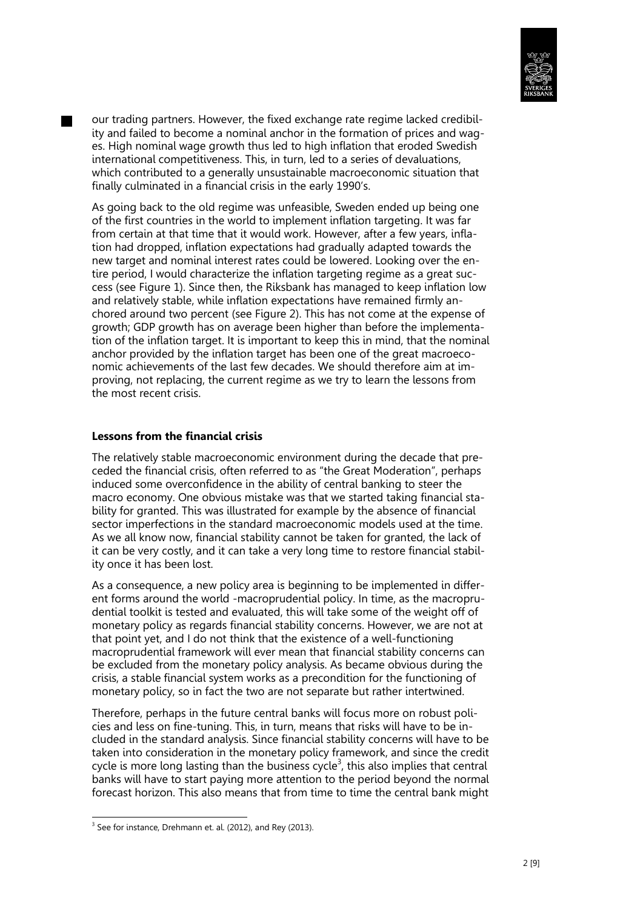

our trading partners. However, the fixed exchange rate regime lacked credibility and failed to become a nominal anchor in the formation of prices and wages. High nominal wage growth thus led to high inflation that eroded Swedish international competitiveness. This, in turn, led to a series of devaluations, which contributed to a generally unsustainable macroeconomic situation that finally culminated in a financial crisis in the early 1990's.

As going back to the old regime was unfeasible, Sweden ended up being one of the first countries in the world to implement inflation targeting. It was far from certain at that time that it would work. However, after a few years, inflation had dropped, inflation expectations had gradually adapted towards the new target and nominal interest rates could be lowered. Looking over the entire period, I would characterize the inflation targeting regime as a great success (see Figure 1). Since then, the Riksbank has managed to keep inflation low and relatively stable, while inflation expectations have remained firmly anchored around two percent (see Figure 2). This has not come at the expense of growth; GDP growth has on average been higher than before the implementation of the inflation target. It is important to keep this in mind, that the nominal anchor provided by the inflation target has been one of the great macroeconomic achievements of the last few decades. We should therefore aim at improving, not replacing, the current regime as we try to learn the lessons from the most recent crisis.

#### **Lessons from the financial crisis**

The relatively stable macroeconomic environment during the decade that preceded the financial crisis, often referred to as "the Great Moderation", perhaps induced some overconfidence in the ability of central banking to steer the macro economy. One obvious mistake was that we started taking financial stability for granted. This was illustrated for example by the absence of financial sector imperfections in the standard macroeconomic models used at the time. As we all know now, financial stability cannot be taken for granted, the lack of it can be very costly, and it can take a very long time to restore financial stability once it has been lost.

As a consequence, a new policy area is beginning to be implemented in different forms around the world -macroprudential policy. In time, as the macroprudential toolkit is tested and evaluated, this will take some of the weight off of monetary policy as regards financial stability concerns. However, we are not at that point yet, and I do not think that the existence of a well-functioning macroprudential framework will ever mean that financial stability concerns can be excluded from the monetary policy analysis. As became obvious during the crisis, a stable financial system works as a precondition for the functioning of monetary policy, so in fact the two are not separate but rather intertwined.

Therefore, perhaps in the future central banks will focus more on robust policies and less on fine-tuning. This, in turn, means that risks will have to be included in the standard analysis. Since financial stability concerns will have to be taken into consideration in the monetary policy framework, and since the credit cycle is more long lasting than the business cycle<sup>3</sup>, this also implies that central banks will have to start paying more attention to the period beyond the normal forecast horizon. This also means that from time to time the central bank might

-

 $3$  See for instance, Drehmann et. al. (2012), and Rey (2013).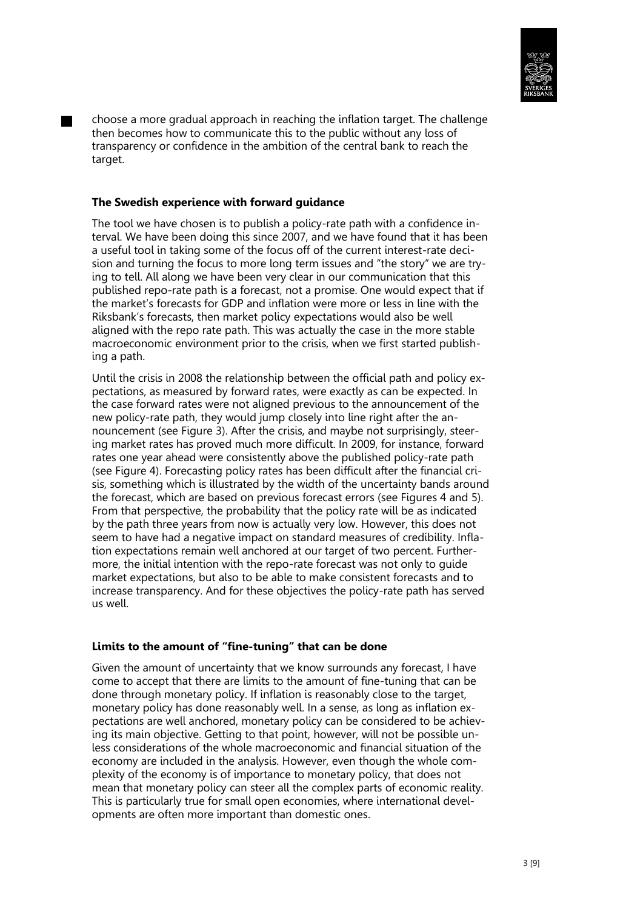

choose a more gradual approach in reaching the inflation target. The challenge then becomes how to communicate this to the public without any loss of transparency or confidence in the ambition of the central bank to reach the target.

#### **The Swedish experience with forward guidance**

The tool we have chosen is to publish a policy-rate path with a confidence interval. We have been doing this since 2007, and we have found that it has been a useful tool in taking some of the focus off of the current interest-rate decision and turning the focus to more long term issues and "the story" we are trying to tell. All along we have been very clear in our communication that this published repo-rate path is a forecast, not a promise. One would expect that if the market's forecasts for GDP and inflation were more or less in line with the Riksbank's forecasts, then market policy expectations would also be well aligned with the repo rate path. This was actually the case in the more stable macroeconomic environment prior to the crisis, when we first started publishing a path.

Until the crisis in 2008 the relationship between the official path and policy expectations, as measured by forward rates, were exactly as can be expected. In the case forward rates were not aligned previous to the announcement of the new policy-rate path, they would jump closely into line right after the announcement (see Figure 3). After the crisis, and maybe not surprisingly, steering market rates has proved much more difficult. In 2009, for instance, forward rates one year ahead were consistently above the published policy-rate path (see Figure 4). Forecasting policy rates has been difficult after the financial crisis, something which is illustrated by the width of the uncertainty bands around the forecast, which are based on previous forecast errors (see Figures 4 and 5). From that perspective, the probability that the policy rate will be as indicated by the path three years from now is actually very low. However, this does not seem to have had a negative impact on standard measures of credibility. Inflation expectations remain well anchored at our target of two percent. Furthermore, the initial intention with the repo-rate forecast was not only to guide market expectations, but also to be able to make consistent forecasts and to increase transparency. And for these objectives the policy-rate path has served us well.

# **Limits to the amount of "fine-tuning" that can be done**

Given the amount of uncertainty that we know surrounds any forecast, I have come to accept that there are limits to the amount of fine-tuning that can be done through monetary policy. If inflation is reasonably close to the target, monetary policy has done reasonably well. In a sense, as long as inflation expectations are well anchored, monetary policy can be considered to be achieving its main objective. Getting to that point, however, will not be possible unless considerations of the whole macroeconomic and financial situation of the economy are included in the analysis. However, even though the whole complexity of the economy is of importance to monetary policy, that does not mean that monetary policy can steer all the complex parts of economic reality. This is particularly true for small open economies, where international developments are often more important than domestic ones.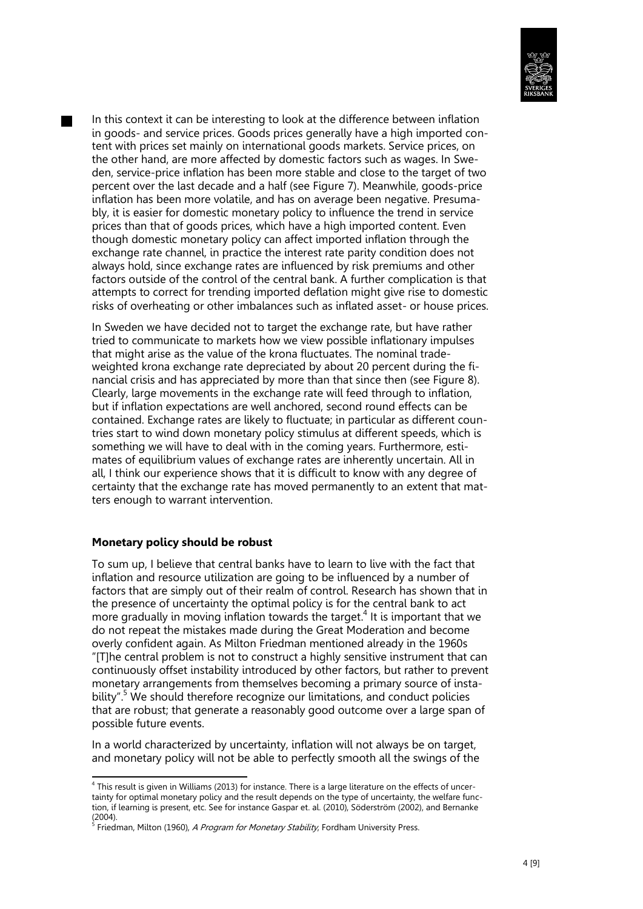

In this context it can be interesting to look at the difference between inflation in goods- and service prices. Goods prices generally have a high imported content with prices set mainly on international goods markets. Service prices, on the other hand, are more affected by domestic factors such as wages. In Sweden, service-price inflation has been more stable and close to the target of two percent over the last decade and a half (see Figure 7). Meanwhile, goods-price inflation has been more volatile, and has on average been negative. Presumably, it is easier for domestic monetary policy to influence the trend in service prices than that of goods prices, which have a high imported content. Even though domestic monetary policy can affect imported inflation through the exchange rate channel, in practice the interest rate parity condition does not always hold, since exchange rates are influenced by risk premiums and other factors outside of the control of the central bank. A further complication is that attempts to correct for trending imported deflation might give rise to domestic risks of overheating or other imbalances such as inflated asset- or house prices.

In Sweden we have decided not to target the exchange rate, but have rather tried to communicate to markets how we view possible inflationary impulses that might arise as the value of the krona fluctuates. The nominal tradeweighted krona exchange rate depreciated by about 20 percent during the financial crisis and has appreciated by more than that since then (see Figure 8). Clearly, large movements in the exchange rate will feed through to inflation, but if inflation expectations are well anchored, second round effects can be contained. Exchange rates are likely to fluctuate; in particular as different countries start to wind down monetary policy stimulus at different speeds, which is something we will have to deal with in the coming years. Furthermore, estimates of equilibrium values of exchange rates are inherently uncertain. All in all, I think our experience shows that it is difficult to know with any degree of certainty that the exchange rate has moved permanently to an extent that matters enough to warrant intervention.

#### **Monetary policy should be robust**

To sum up, I believe that central banks have to learn to live with the fact that inflation and resource utilization are going to be influenced by a number of factors that are simply out of their realm of control. Research has shown that in the presence of uncertainty the optimal policy is for the central bank to act more gradually in moving inflation towards the target. 4 It is important that we do not repeat the mistakes made during the Great Moderation and become overly confident again. As Milton Friedman mentioned already in the 1960s "[T]he central problem is not to construct a highly sensitive instrument that can continuously offset instability introduced by other factors, but rather to prevent monetary arrangements from themselves becoming a primary source of instability".<sup>5</sup> We should therefore recognize our limitations, and conduct policies that are robust; that generate a reasonably good outcome over a large span of possible future events.

In a world characterized by uncertainty, inflation will not always be on target, and monetary policy will not be able to perfectly smooth all the swings of the

 4 This result is given in Williams (2013) for instance. There is a large literature on the effects of uncertainty for optimal monetary policy and the result depends on the type of uncertainty, the welfare function, if learning is present, etc. See for instance Gaspar et. al. (2010), Söderström (2002), and Bernanke (2004).

<sup>&</sup>lt;sup>5</sup> Friedman, Milton (1960), *A Program for Monetary Stability*, Fordham University Press.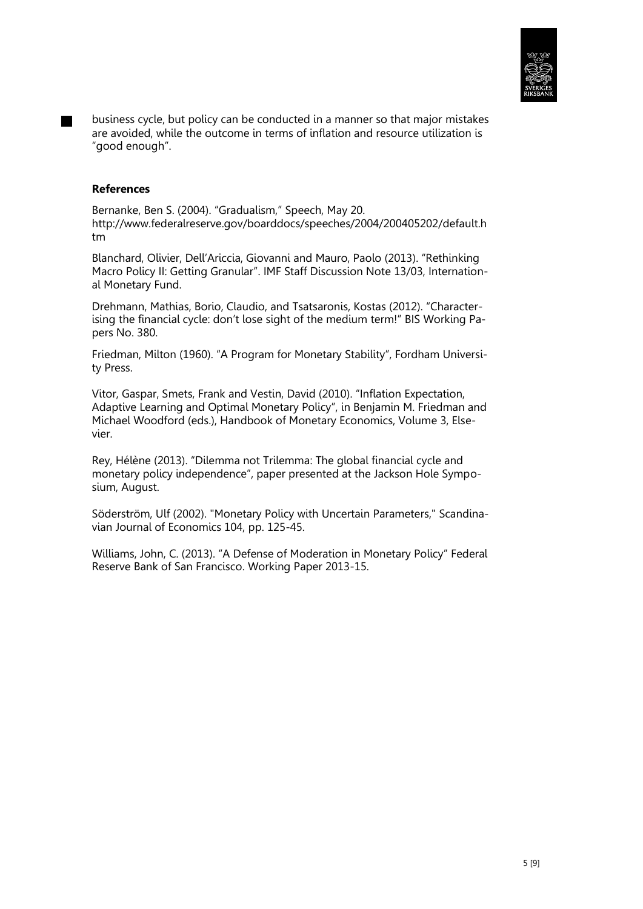

business cycle, but policy can be conducted in a manner so that major mistakes are avoided, while the outcome in terms of inflation and resource utilization is "good enough".

#### **References**

Bernanke, Ben S. (2004). "Gradualism," Speech, May 20. http://www.federalreserve.gov/boarddocs/speeches/2004/200405202/default.h tm

Blanchard, Olivier, Dell'Ariccia, Giovanni and Mauro, Paolo (2013). "Rethinking Macro Policy II: Getting Granular". IMF Staff Discussion Note 13/03, International Monetary Fund.

Drehmann, Mathias, Borio, Claudio, and Tsatsaronis, Kostas (2012). "Characterising the financial cycle: don't lose sight of the medium term!" BIS Working Papers No. 380.

Friedman, Milton (1960). "A Program for Monetary Stability", Fordham University Press.

Vitor, Gaspar, Smets, Frank and Vestin, David (2010). "Inflation Expectation, Adaptive Learning and Optimal Monetary Policy", in Benjamin M. Friedman and Michael Woodford (eds.), Handbook of Monetary Economics, Volume 3, Elsevier.

Rey, Hélène (2013). "Dilemma not Trilemma: The global financial cycle and monetary policy independence", paper presented at the Jackson Hole Symposium, August.

Söderström, Ulf (2002). "Monetary Policy with Uncertain Parameters," Scandinavian Journal of Economics 104, pp. 125-45.

Williams, John, C. (2013). "A Defense of Moderation in Monetary Policy" Federal Reserve Bank of San Francisco. Working Paper 2013-15.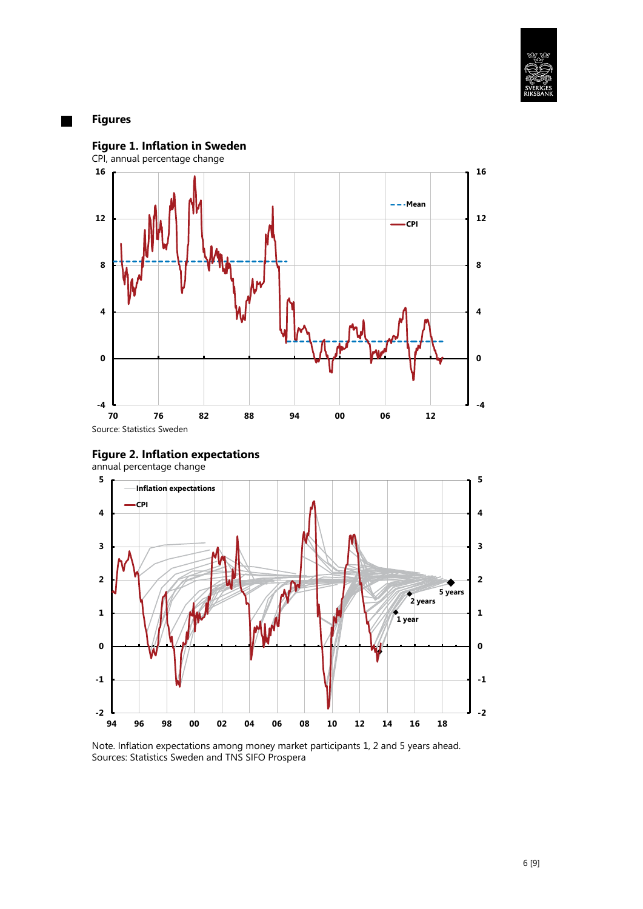

# **Figures**





Note. Inflation expectations among money market participants 1, 2 and 5 years ahead. Sources: Statistics Sweden and TNS SIFO Prospera

6 [9]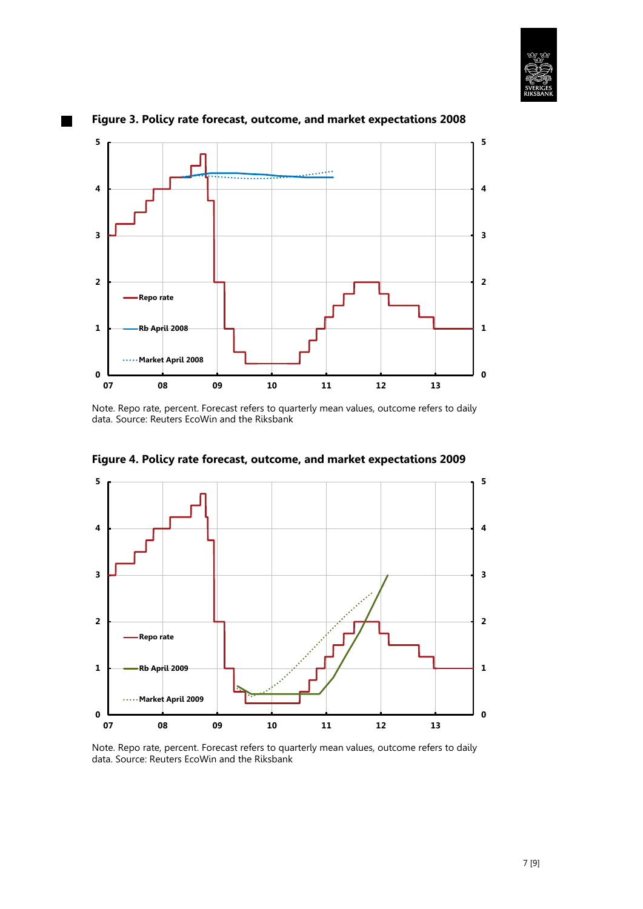



# **Figure 3. Policy rate forecast, outcome, and market expectations 2008**

Note. Repo rate, percent. Forecast refers to quarterly mean values, outcome refers to daily data. Source: Reuters EcoWin and the Riksbank



**Figure 4. Policy rate forecast, outcome, and market expectations 2009**

Note. Repo rate, percent. Forecast refers to quarterly mean values, outcome refers to daily data. Source: Reuters EcoWin and the Riksbank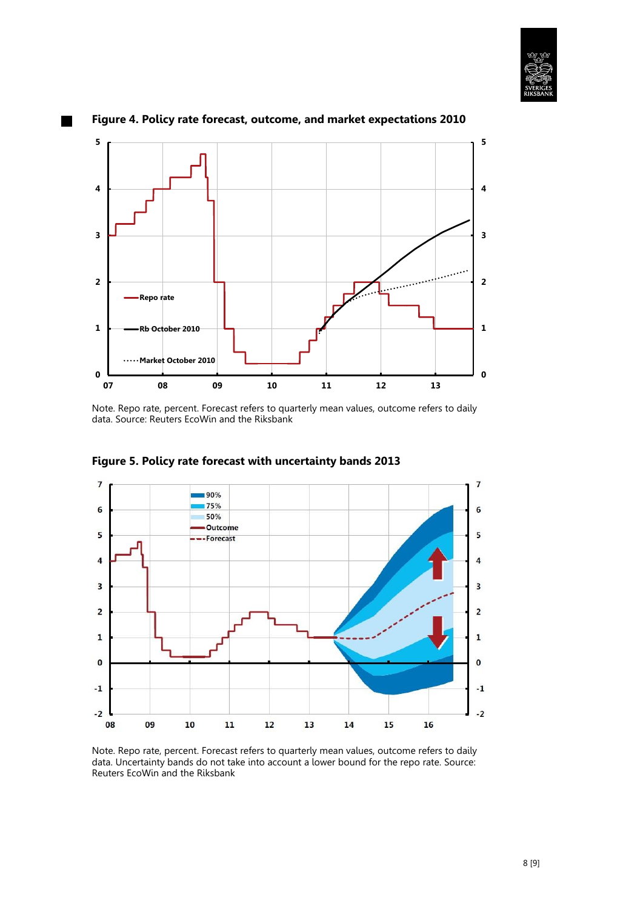



#### **Figure 4. Policy rate forecast, outcome, and market expectations 2010**

Note. Repo rate, percent. Forecast refers to quarterly mean values, outcome refers to daily data. Source: Reuters EcoWin and the Riksbank



**Figure 5. Policy rate forecast with uncertainty bands 2013**

Note. Repo rate, percent. Forecast refers to quarterly mean values, outcome refers to daily data. Uncertainty bands do not take into account a lower bound for the repo rate. Source: Reuters EcoWin and the Riksbank

8 [9]